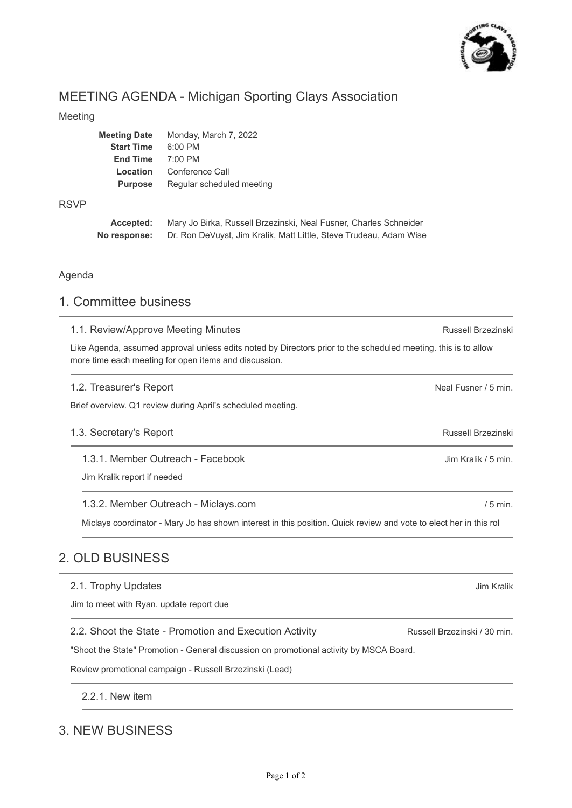

# MEETING AGENDA - Michigan Sporting Clays Association

#### Meeting

| Meeting Date      | Monday, March 7, 2022     |
|-------------------|---------------------------|
| <b>Start Time</b> | $6:00$ PM                 |
| <b>End Time</b>   | $7:00$ PM                 |
| Location          | Conference Call           |
| <b>Purpose</b>    | Regular scheduled meeting |
|                   |                           |

#### RSVP

| Accepted:    | Mary Jo Birka, Russell Brzezinski, Neal Fusner, Charles Schneider  |
|--------------|--------------------------------------------------------------------|
| No response: | Dr. Ron DeVuyst, Jim Kralik, Matt Little, Steve Trudeau, Adam Wise |

#### Agenda

### 1. Committee business

#### 1.1. Review/Approve Meeting Minutes

Like Agenda, assumed approval unless edits noted by Directors prior to the scheduled meeting. this is to allow more time each meeting for open items and discussion.

### Neal Fusner / 5 min. Russell Brzezinski Jim Kralik / 5 min. / 5 min. 1.2. Treasurer's Report Brief overview. Q1 review during April's scheduled meeting. 1.3. Secretary's Report 1.3.1. Member Outreach - Facebook Jim Kralik report if needed 1.3.2. Member Outreach - Miclays.com

Miclays coordinator - Mary Jo has shown interest in this position. Quick review and vote to elect her in this rol

## 2. OLD BUSINESS

| 2.1. Trophy Updates |  |
|---------------------|--|
|---------------------|--|

Jim to meet with Ryan. update report due

2.2. Shoot the State - Promotion and Execution Activity

"Shoot the State" Promotion - General discussion on promotional activity by MSCA Board.

Review promotional campaign - Russell Brzezinski (Lead)

2.2.1. New item

## 3. NEW BUSINESS

Russell Brzezinski / 30 min.

Russell Brzezinski

Jim Kralik